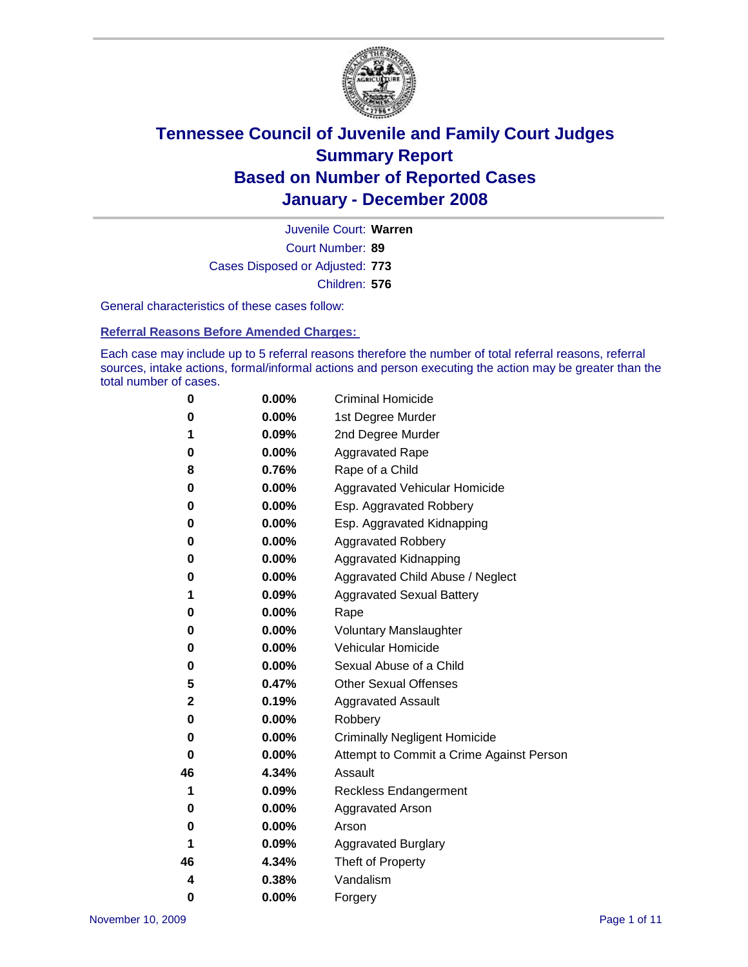

Court Number: **89** Juvenile Court: **Warren** Cases Disposed or Adjusted: **773** Children: **576**

General characteristics of these cases follow:

**Referral Reasons Before Amended Charges:** 

Each case may include up to 5 referral reasons therefore the number of total referral reasons, referral sources, intake actions, formal/informal actions and person executing the action may be greater than the total number of cases.

| 0  | 0.00%    | <b>Criminal Homicide</b>                 |
|----|----------|------------------------------------------|
| 0  | 0.00%    | 1st Degree Murder                        |
| 1  | 0.09%    | 2nd Degree Murder                        |
| 0  | 0.00%    | <b>Aggravated Rape</b>                   |
| 8  | 0.76%    | Rape of a Child                          |
| 0  | 0.00%    | Aggravated Vehicular Homicide            |
| 0  | 0.00%    | Esp. Aggravated Robbery                  |
| 0  | 0.00%    | Esp. Aggravated Kidnapping               |
| 0  | 0.00%    | <b>Aggravated Robbery</b>                |
| 0  | 0.00%    | Aggravated Kidnapping                    |
| 0  | 0.00%    | Aggravated Child Abuse / Neglect         |
| 1  | 0.09%    | <b>Aggravated Sexual Battery</b>         |
| 0  | 0.00%    | Rape                                     |
| 0  | 0.00%    | <b>Voluntary Manslaughter</b>            |
| 0  | 0.00%    | Vehicular Homicide                       |
| 0  | 0.00%    | Sexual Abuse of a Child                  |
| 5  | 0.47%    | <b>Other Sexual Offenses</b>             |
| 2  | 0.19%    | <b>Aggravated Assault</b>                |
| 0  | $0.00\%$ | Robbery                                  |
| 0  | 0.00%    | <b>Criminally Negligent Homicide</b>     |
| 0  | 0.00%    | Attempt to Commit a Crime Against Person |
| 46 | 4.34%    | Assault                                  |
| 1  | 0.09%    | <b>Reckless Endangerment</b>             |
| 0  | 0.00%    | <b>Aggravated Arson</b>                  |
| 0  | 0.00%    | Arson                                    |
| 1  | 0.09%    | <b>Aggravated Burglary</b>               |
| 46 | 4.34%    | Theft of Property                        |
| 4  | 0.38%    | Vandalism                                |
| 0  | 0.00%    | Forgery                                  |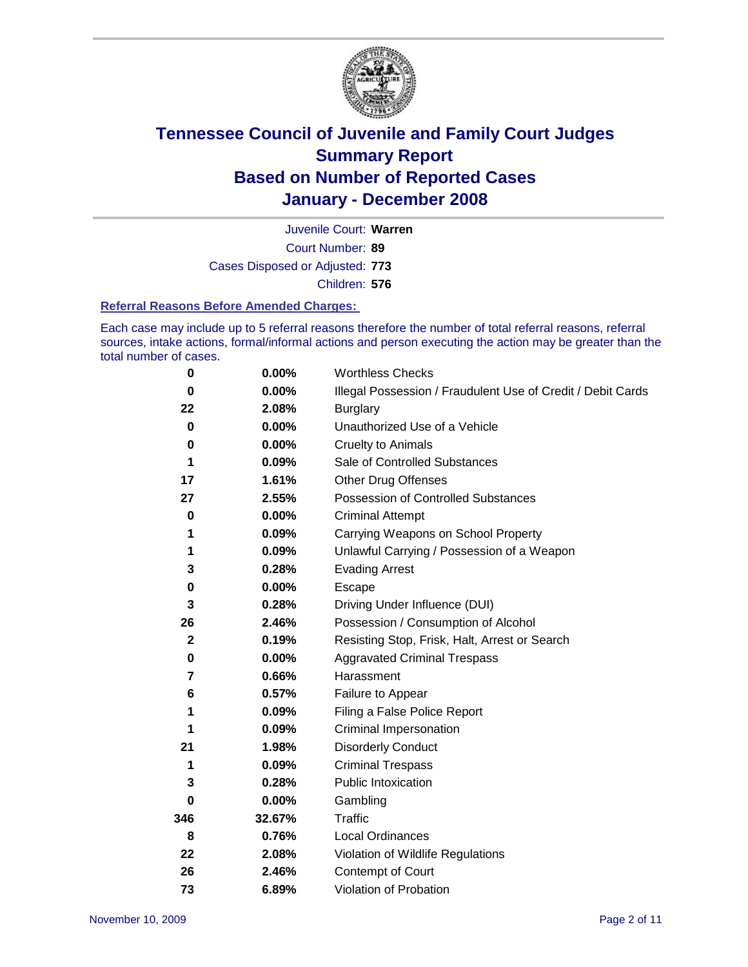

Court Number: **89** Juvenile Court: **Warren** Cases Disposed or Adjusted: **773** Children: **576**

#### **Referral Reasons Before Amended Charges:**

Each case may include up to 5 referral reasons therefore the number of total referral reasons, referral sources, intake actions, formal/informal actions and person executing the action may be greater than the total number of cases.

| 0            | 0.00%  | <b>Worthless Checks</b>                                     |
|--------------|--------|-------------------------------------------------------------|
| $\bf{0}$     | 0.00%  | Illegal Possession / Fraudulent Use of Credit / Debit Cards |
| 22           | 2.08%  | <b>Burglary</b>                                             |
| 0            | 0.00%  | Unauthorized Use of a Vehicle                               |
| 0            | 0.00%  | <b>Cruelty to Animals</b>                                   |
| 1            | 0.09%  | Sale of Controlled Substances                               |
| 17           | 1.61%  | <b>Other Drug Offenses</b>                                  |
| 27           | 2.55%  | Possession of Controlled Substances                         |
| 0            | 0.00%  | <b>Criminal Attempt</b>                                     |
| 1            | 0.09%  | Carrying Weapons on School Property                         |
| 1            | 0.09%  | Unlawful Carrying / Possession of a Weapon                  |
| 3            | 0.28%  | <b>Evading Arrest</b>                                       |
| 0            | 0.00%  | Escape                                                      |
| 3            | 0.28%  | Driving Under Influence (DUI)                               |
| 26           | 2.46%  | Possession / Consumption of Alcohol                         |
| $\mathbf{2}$ | 0.19%  | Resisting Stop, Frisk, Halt, Arrest or Search               |
| 0            | 0.00%  | <b>Aggravated Criminal Trespass</b>                         |
| 7            | 0.66%  | Harassment                                                  |
| 6            | 0.57%  | Failure to Appear                                           |
| 1            | 0.09%  | Filing a False Police Report                                |
|              | 0.09%  | Criminal Impersonation                                      |
| 21           | 1.98%  | <b>Disorderly Conduct</b>                                   |
| 1            | 0.09%  | <b>Criminal Trespass</b>                                    |
| 3            | 0.28%  | <b>Public Intoxication</b>                                  |
| 0            | 0.00%  | Gambling                                                    |
| 346          | 32.67% | Traffic                                                     |
| 8            | 0.76%  | <b>Local Ordinances</b>                                     |
| 22           | 2.08%  | Violation of Wildlife Regulations                           |
| 26           | 2.46%  | Contempt of Court                                           |
| 73           | 6.89%  | Violation of Probation                                      |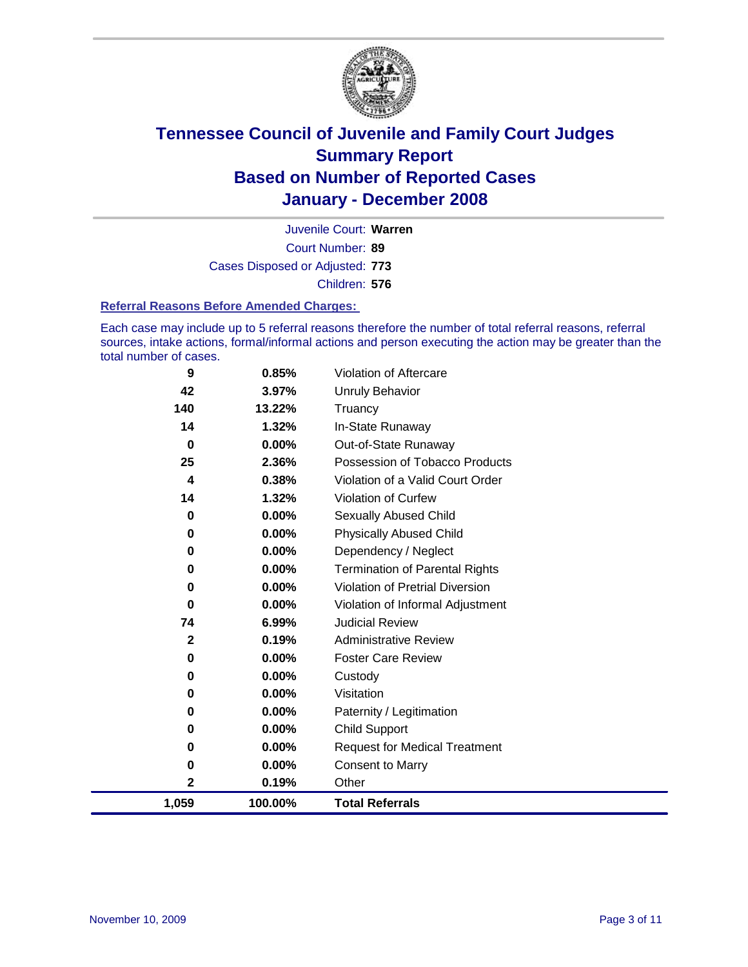

Court Number: **89** Juvenile Court: **Warren** Cases Disposed or Adjusted: **773** Children: **576**

#### **Referral Reasons Before Amended Charges:**

Each case may include up to 5 referral reasons therefore the number of total referral reasons, referral sources, intake actions, formal/informal actions and person executing the action may be greater than the total number of cases.

| 9            | 0.85%    | Violation of Aftercare                 |
|--------------|----------|----------------------------------------|
| 42           | 3.97%    | <b>Unruly Behavior</b>                 |
| 140          | 13.22%   | Truancy                                |
| 14           | 1.32%    | In-State Runaway                       |
| $\bf{0}$     | 0.00%    | Out-of-State Runaway                   |
| 25           | 2.36%    | Possession of Tobacco Products         |
| 4            | 0.38%    | Violation of a Valid Court Order       |
| 14           | 1.32%    | Violation of Curfew                    |
| 0            | 0.00%    | Sexually Abused Child                  |
| 0            | 0.00%    | <b>Physically Abused Child</b>         |
| 0            | $0.00\%$ | Dependency / Neglect                   |
| 0            | $0.00\%$ | <b>Termination of Parental Rights</b>  |
| 0            | $0.00\%$ | <b>Violation of Pretrial Diversion</b> |
| 0            | $0.00\%$ | Violation of Informal Adjustment       |
| 74           | 6.99%    | <b>Judicial Review</b>                 |
| $\mathbf{2}$ | 0.19%    | <b>Administrative Review</b>           |
| 0            | 0.00%    | <b>Foster Care Review</b>              |
| 0            | $0.00\%$ | Custody                                |
| 0            | 0.00%    | Visitation                             |
| 0            | 0.00%    | Paternity / Legitimation               |
| 0            | 0.00%    | <b>Child Support</b>                   |
| 0            | 0.00%    | <b>Request for Medical Treatment</b>   |
| 0            | 0.00%    | <b>Consent to Marry</b>                |
| 2            | 0.19%    | Other                                  |
| 1,059        | 100.00%  | <b>Total Referrals</b>                 |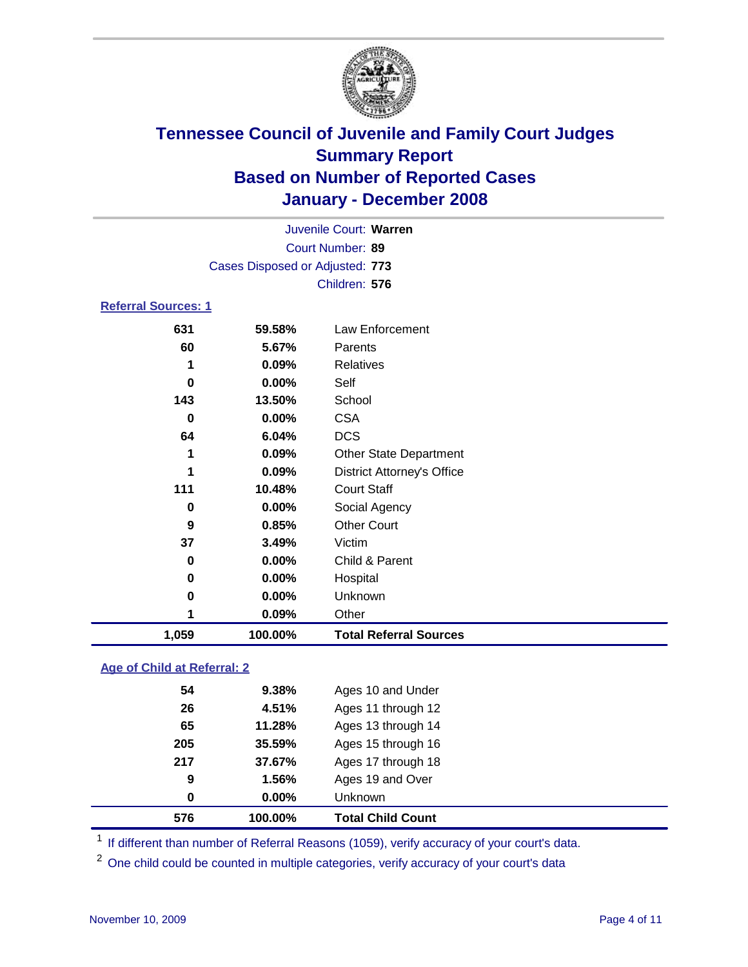

| Juvenile Court: Warren     |                                 |                                   |  |  |  |  |
|----------------------------|---------------------------------|-----------------------------------|--|--|--|--|
| Court Number: 89           |                                 |                                   |  |  |  |  |
|                            | Cases Disposed or Adjusted: 773 |                                   |  |  |  |  |
|                            |                                 | Children: 576                     |  |  |  |  |
| <b>Referral Sources: 1</b> |                                 |                                   |  |  |  |  |
| 631                        | 59.58%                          | Law Enforcement                   |  |  |  |  |
| 60                         | 5.67%                           | Parents                           |  |  |  |  |
| 1                          | 0.09%                           | Relatives                         |  |  |  |  |
| 0                          | 0.00%                           | Self                              |  |  |  |  |
| 143                        | 13.50%                          | School                            |  |  |  |  |
| 0                          | 0.00%                           | <b>CSA</b>                        |  |  |  |  |
| 64                         | 6.04%                           | <b>DCS</b>                        |  |  |  |  |
| 1                          | 0.09%                           | <b>Other State Department</b>     |  |  |  |  |
| 1                          | 0.09%                           | <b>District Attorney's Office</b> |  |  |  |  |
| 111                        | 10.48%                          | <b>Court Staff</b>                |  |  |  |  |
| 0                          | 0.00%                           | Social Agency                     |  |  |  |  |
| 9                          | 0.85%                           | <b>Other Court</b>                |  |  |  |  |
| 37                         | 3.49%                           | Victim                            |  |  |  |  |
| 0                          | 0.00%                           | Child & Parent                    |  |  |  |  |
| 0                          | $0.00\%$                        | Hospital                          |  |  |  |  |
| 0                          | 0.00%                           | Unknown                           |  |  |  |  |

### **Age of Child at Referral: 2**

| 576 | 100.00%  | <b>Total Child Count</b> |
|-----|----------|--------------------------|
| 0   | $0.00\%$ | Unknown                  |
| 9   | 1.56%    | Ages 19 and Over         |
| 217 | 37.67%   | Ages 17 through 18       |
| 205 | 35.59%   | Ages 15 through 16       |
| 65  | 11.28%   | Ages 13 through 14       |
| 26  | 4.51%    | Ages 11 through 12       |
| 54  | 9.38%    | Ages 10 and Under        |
|     |          |                          |

<sup>1</sup> If different than number of Referral Reasons (1059), verify accuracy of your court's data.

<sup>2</sup> One child could be counted in multiple categories, verify accuracy of your court's data

**0.09%** Other

**1,059 100.00% Total Referral Sources**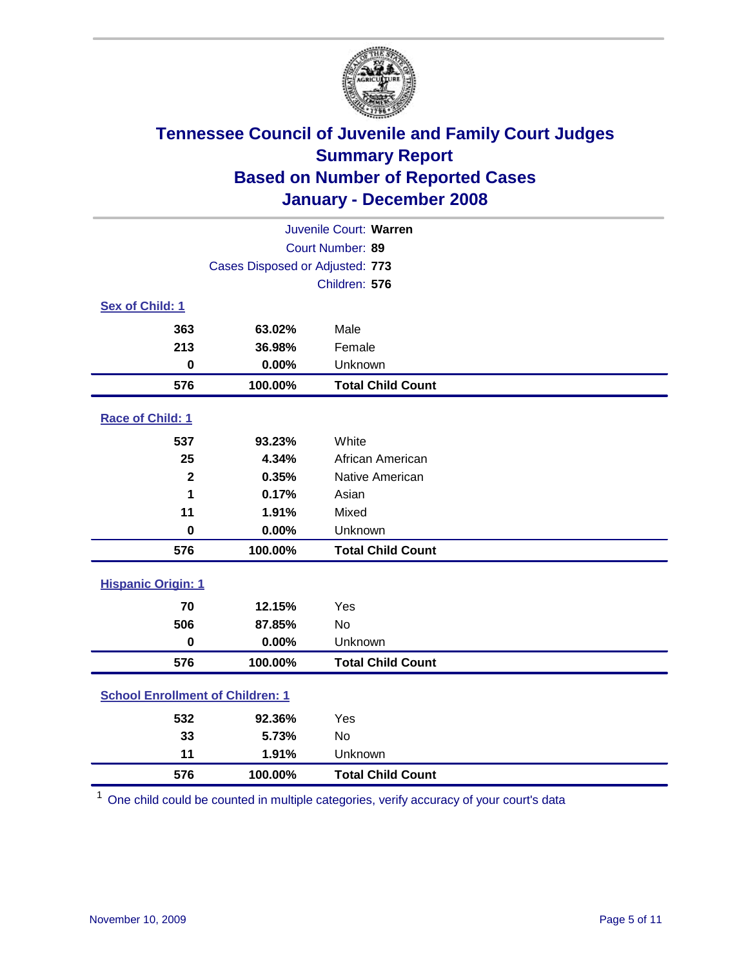

| Juvenile Court: Warren                  |                                 |                          |  |  |
|-----------------------------------------|---------------------------------|--------------------------|--|--|
| Court Number: 89                        |                                 |                          |  |  |
|                                         | Cases Disposed or Adjusted: 773 |                          |  |  |
|                                         |                                 | Children: 576            |  |  |
| Sex of Child: 1                         |                                 |                          |  |  |
| 363                                     | 63.02%                          | Male                     |  |  |
| 213                                     | 36.98%                          | Female                   |  |  |
| $\bf{0}$                                | 0.00%                           | Unknown                  |  |  |
| 576                                     | 100.00%                         | <b>Total Child Count</b> |  |  |
| Race of Child: 1                        |                                 |                          |  |  |
| 537                                     | 93.23%                          | White                    |  |  |
| 25                                      | 4.34%                           | African American         |  |  |
| $\mathbf{2}$                            | 0.35%                           | Native American          |  |  |
| 1                                       | 0.17%                           | Asian                    |  |  |
| 11                                      | 1.91%                           | Mixed                    |  |  |
| $\bf{0}$                                | 0.00%                           | Unknown                  |  |  |
| 576                                     | 100.00%                         | <b>Total Child Count</b> |  |  |
| <b>Hispanic Origin: 1</b>               |                                 |                          |  |  |
| 70                                      | 12.15%                          | Yes                      |  |  |
| 506                                     | 87.85%                          | <b>No</b>                |  |  |
| $\mathbf 0$                             | 0.00%                           | Unknown                  |  |  |
| 576                                     | 100.00%                         | <b>Total Child Count</b> |  |  |
| <b>School Enrollment of Children: 1</b> |                                 |                          |  |  |
| 532                                     | 92.36%                          | Yes                      |  |  |
| 33                                      | 5.73%                           | No                       |  |  |
| 11                                      | 1.91%                           | Unknown                  |  |  |
| 576                                     | 100.00%                         | <b>Total Child Count</b> |  |  |

One child could be counted in multiple categories, verify accuracy of your court's data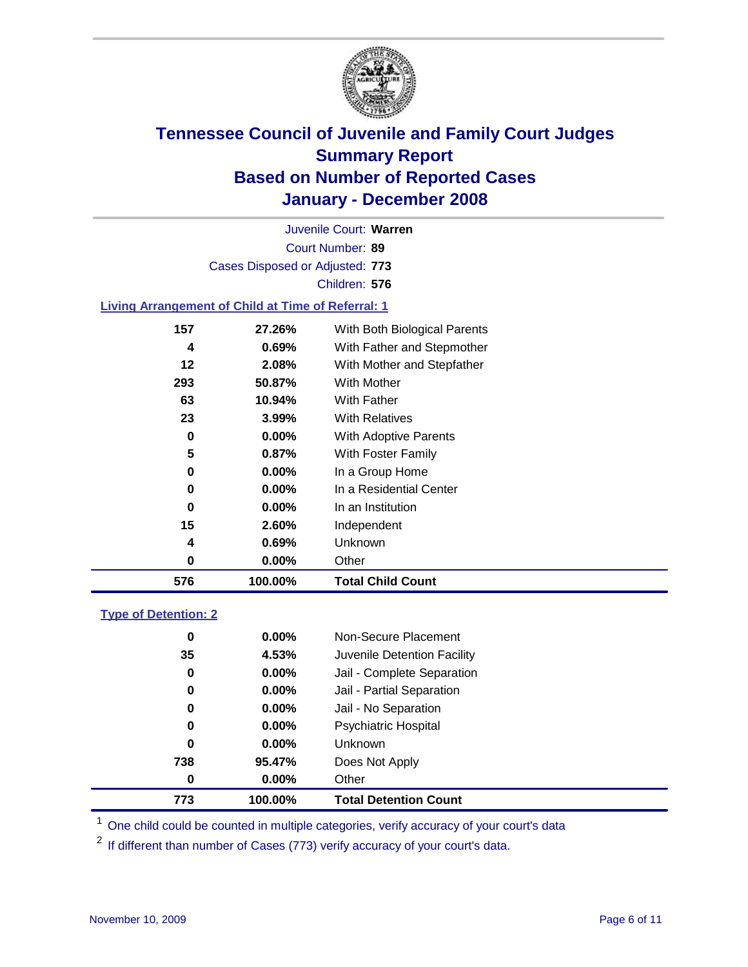

Court Number: **89** Juvenile Court: **Warren** Cases Disposed or Adjusted: **773** Children: **576**

#### **Living Arrangement of Child at Time of Referral: 1**

| 576 | 100.00%  | <b>Total Child Count</b>     |
|-----|----------|------------------------------|
| 0   | 0.00%    | Other                        |
| 4   | 0.69%    | Unknown                      |
| 15  | 2.60%    | Independent                  |
| 0   | $0.00\%$ | In an Institution            |
| 0   | $0.00\%$ | In a Residential Center      |
| 0   | $0.00\%$ | In a Group Home              |
| 5   | 0.87%    | With Foster Family           |
| 0   | $0.00\%$ | With Adoptive Parents        |
| 23  | $3.99\%$ | <b>With Relatives</b>        |
| 63  | 10.94%   | <b>With Father</b>           |
| 293 | 50.87%   | With Mother                  |
| 12  | 2.08%    | With Mother and Stepfather   |
| 4   | $0.69\%$ | With Father and Stepmother   |
| 157 | 27.26%   | With Both Biological Parents |
|     |          |                              |

#### **Type of Detention: 2**

| 773 | 100.00%  | <b>Total Detention Count</b> |
|-----|----------|------------------------------|
| 0   | $0.00\%$ | Other                        |
| 738 | 95.47%   | Does Not Apply               |
| 0   | $0.00\%$ | <b>Unknown</b>               |
| 0   | 0.00%    | <b>Psychiatric Hospital</b>  |
| 0   | $0.00\%$ | Jail - No Separation         |
| 0   | $0.00\%$ | Jail - Partial Separation    |
| 0   | $0.00\%$ | Jail - Complete Separation   |
| 35  | 4.53%    | Juvenile Detention Facility  |
| 0   | $0.00\%$ | Non-Secure Placement         |
|     |          |                              |

<sup>1</sup> One child could be counted in multiple categories, verify accuracy of your court's data

<sup>2</sup> If different than number of Cases (773) verify accuracy of your court's data.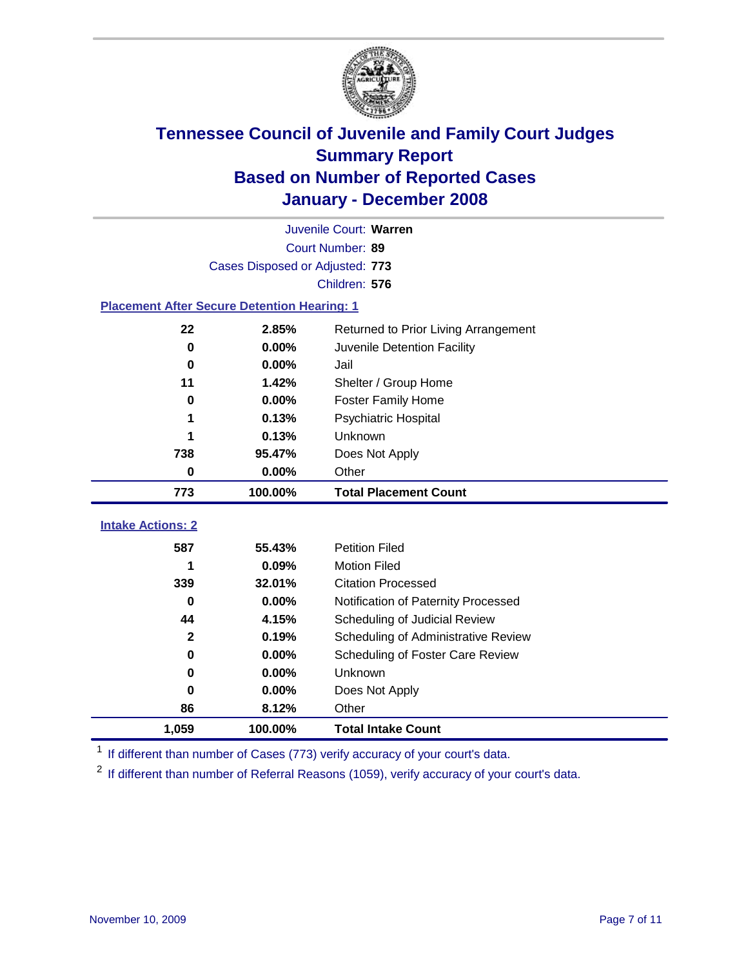

|                                                    | Juvenile Court: Warren          |                                      |  |  |  |
|----------------------------------------------------|---------------------------------|--------------------------------------|--|--|--|
|                                                    | Court Number: 89                |                                      |  |  |  |
|                                                    | Cases Disposed or Adjusted: 773 |                                      |  |  |  |
|                                                    |                                 | Children: 576                        |  |  |  |
| <b>Placement After Secure Detention Hearing: 1</b> |                                 |                                      |  |  |  |
| 22                                                 | 2.85%                           | Returned to Prior Living Arrangement |  |  |  |
| $\bf{0}$                                           | 0.00%                           | Juvenile Detention Facility          |  |  |  |
| $\bf{0}$                                           | 0.00%                           | Jail                                 |  |  |  |
| 11                                                 | 1.42%                           | Shelter / Group Home                 |  |  |  |
| 0                                                  | 0.00%                           | <b>Foster Family Home</b>            |  |  |  |
| 1                                                  | 0.13%                           | Psychiatric Hospital                 |  |  |  |
| 1                                                  | 0.13%                           | Unknown                              |  |  |  |
| 738                                                | 95.47%                          | Does Not Apply                       |  |  |  |
| 0                                                  | $0.00\%$                        | Other                                |  |  |  |
| 773                                                | 100.00%                         | <b>Total Placement Count</b>         |  |  |  |
| <b>Intake Actions: 2</b>                           |                                 |                                      |  |  |  |
| 587                                                | 55.43%                          | <b>Petition Filed</b>                |  |  |  |
| 1                                                  | 0.09%                           | <b>Motion Filed</b>                  |  |  |  |
| 339                                                | 32.01%                          | <b>Citation Processed</b>            |  |  |  |
| 0                                                  | 0.00%                           | Notification of Paternity Processed  |  |  |  |
| 44                                                 | 4.15%                           | Scheduling of Judicial Review        |  |  |  |
| $\mathbf{2}$                                       | 0.19%                           | Scheduling of Administrative Review  |  |  |  |
| 0                                                  | 0.00%                           | Scheduling of Foster Care Review     |  |  |  |
| 0                                                  |                                 |                                      |  |  |  |
|                                                    | 0.00%                           | Unknown                              |  |  |  |
| 0                                                  | 0.00%                           | Does Not Apply                       |  |  |  |
| 86                                                 | 8.12%                           | Other                                |  |  |  |

<sup>1</sup> If different than number of Cases (773) verify accuracy of your court's data.

<sup>2</sup> If different than number of Referral Reasons (1059), verify accuracy of your court's data.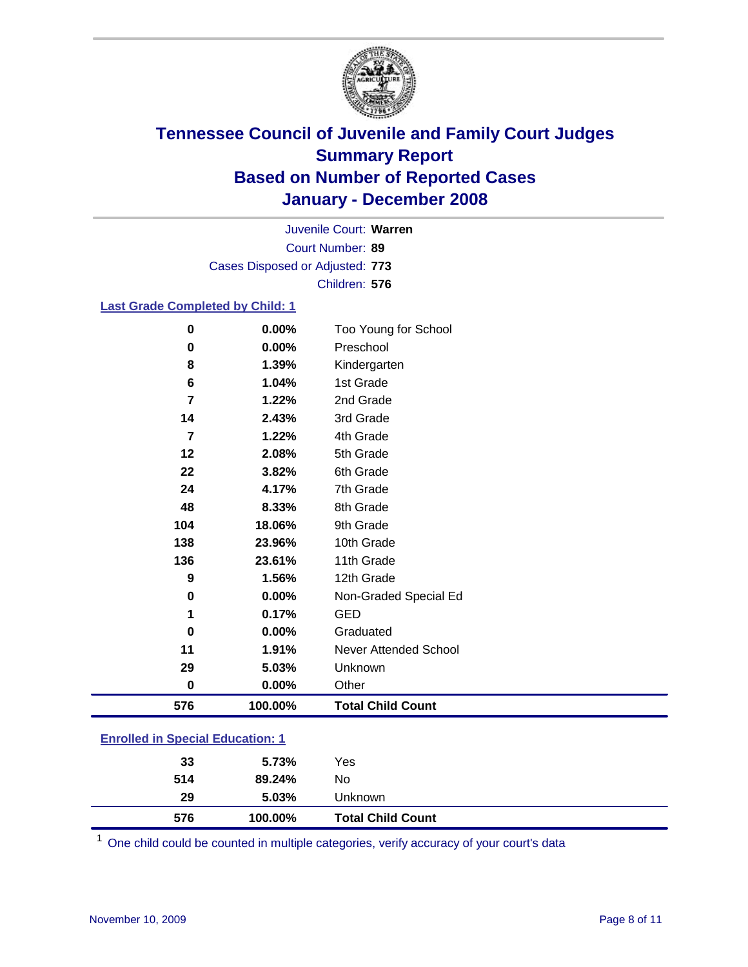

Court Number: **89** Juvenile Court: **Warren** Cases Disposed or Adjusted: **773** Children: **576**

#### **Last Grade Completed by Child: 1**

| 576                     | 100.00% | <b>Total Child Count</b> |  |
|-------------------------|---------|--------------------------|--|
| $\bf{0}$                | 0.00%   | Other                    |  |
| 29                      | 5.03%   | Unknown                  |  |
| 11                      | 1.91%   | Never Attended School    |  |
| $\bf{0}$                | 0.00%   | Graduated                |  |
| 1                       | 0.17%   | <b>GED</b>               |  |
| 0                       | 0.00%   | Non-Graded Special Ed    |  |
| $\boldsymbol{9}$        | 1.56%   | 12th Grade               |  |
| 136                     | 23.61%  | 11th Grade               |  |
| 138                     | 23.96%  | 10th Grade               |  |
| 104                     | 18.06%  | 9th Grade                |  |
| 48                      | 8.33%   | 8th Grade                |  |
| 24                      | 4.17%   | 7th Grade                |  |
| 22                      | 3.82%   | 6th Grade                |  |
| 12                      | 2.08%   | 5th Grade                |  |
| $\overline{\mathbf{z}}$ | 1.22%   | 4th Grade                |  |
| 14                      | 2.43%   | 3rd Grade                |  |
| 7                       | 1.22%   | 2nd Grade                |  |
| 6                       | 1.04%   | 1st Grade                |  |
| 8                       | 1.39%   | Kindergarten             |  |
| $\mathbf 0$             | 0.00%   | Preschool                |  |
| $\bf{0}$                | 0.00%   | Too Young for School     |  |

### **Enrolled in Special Education: 1**

<sup>1</sup> One child could be counted in multiple categories, verify accuracy of your court's data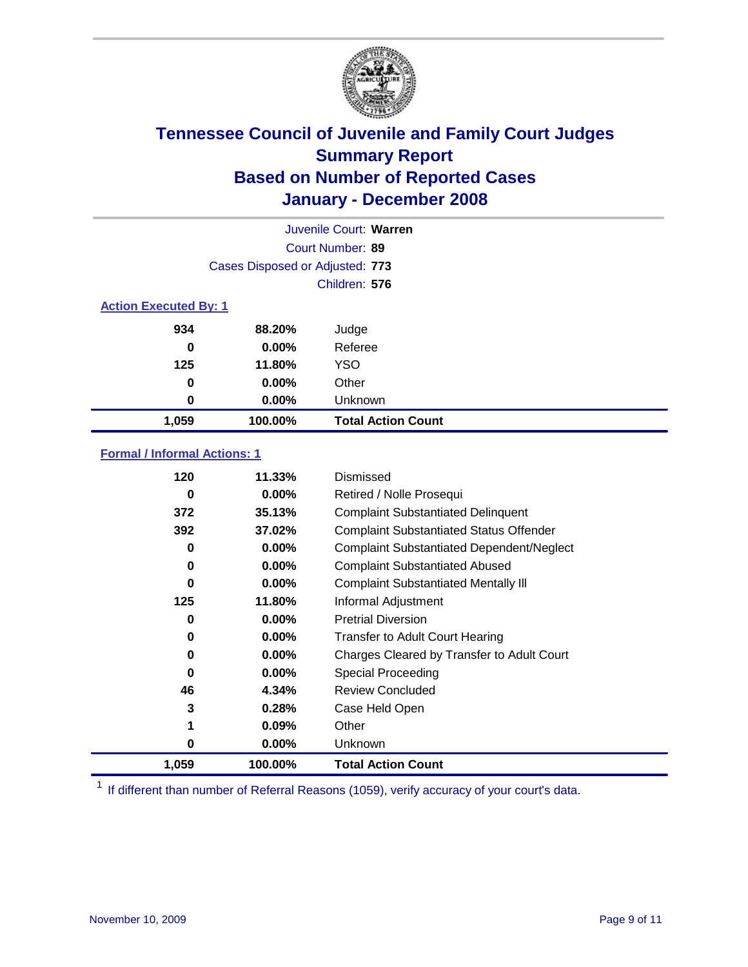

| Juvenile Court: Warren       |                                 |                           |  |  |  |
|------------------------------|---------------------------------|---------------------------|--|--|--|
|                              | Court Number: 89                |                           |  |  |  |
|                              | Cases Disposed or Adjusted: 773 |                           |  |  |  |
|                              |                                 | Children: 576             |  |  |  |
| <b>Action Executed By: 1</b> |                                 |                           |  |  |  |
| 934                          | 88.20%                          | Judge                     |  |  |  |
| 0                            | $0.00\%$                        | Referee                   |  |  |  |
| 125                          | 11.80%                          | <b>YSO</b>                |  |  |  |
| $\bf{0}$                     | $0.00\%$                        | Other                     |  |  |  |
| 0                            | $0.00\%$                        | Unknown                   |  |  |  |
| 1,059                        | 100.00%                         | <b>Total Action Count</b> |  |  |  |

#### **Formal / Informal Actions: 1**

| 120      | 11.33%   | Dismissed                                        |
|----------|----------|--------------------------------------------------|
| 0        | $0.00\%$ | Retired / Nolle Prosequi                         |
| 372      | 35.13%   | <b>Complaint Substantiated Delinquent</b>        |
| 392      | 37.02%   | <b>Complaint Substantiated Status Offender</b>   |
| 0        | $0.00\%$ | <b>Complaint Substantiated Dependent/Neglect</b> |
| 0        | $0.00\%$ | <b>Complaint Substantiated Abused</b>            |
| 0        | $0.00\%$ | <b>Complaint Substantiated Mentally III</b>      |
| 125      | 11.80%   | Informal Adjustment                              |
| 0        | 0.00%    | <b>Pretrial Diversion</b>                        |
| 0        | $0.00\%$ | <b>Transfer to Adult Court Hearing</b>           |
| 0        | 0.00%    | Charges Cleared by Transfer to Adult Court       |
| $\bf{0}$ | 0.00%    | Special Proceeding                               |
| 46       | 4.34%    | <b>Review Concluded</b>                          |
| 3        | 0.28%    | Case Held Open                                   |
| 1        | 0.09%    | Other                                            |
| 0        | 0.00%    | <b>Unknown</b>                                   |
| 1,059    | 100.00%  | <b>Total Action Count</b>                        |

<sup>1</sup> If different than number of Referral Reasons (1059), verify accuracy of your court's data.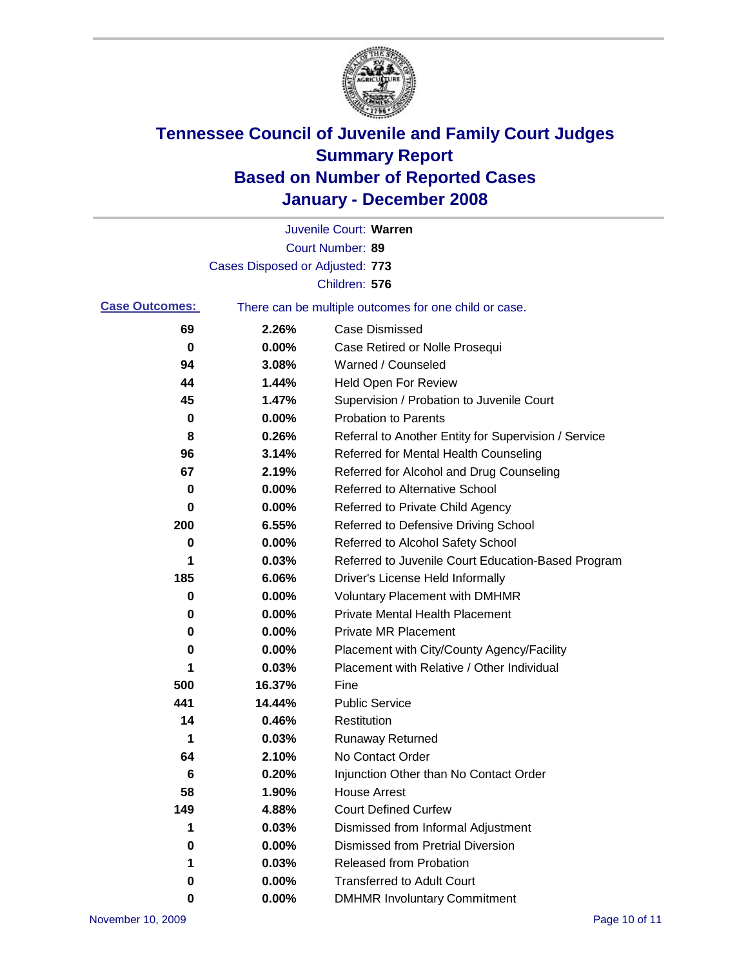

|                       |                                 | Juvenile Court: Warren                                |
|-----------------------|---------------------------------|-------------------------------------------------------|
|                       |                                 | Court Number: 89                                      |
|                       | Cases Disposed or Adjusted: 773 |                                                       |
|                       |                                 | Children: 576                                         |
| <b>Case Outcomes:</b> |                                 | There can be multiple outcomes for one child or case. |
| 69                    | 2.26%                           | <b>Case Dismissed</b>                                 |
| 0                     | 0.00%                           | Case Retired or Nolle Prosequi                        |
| 94                    | 3.08%                           | Warned / Counseled                                    |
| 44                    | 1.44%                           | Held Open For Review                                  |
| 45                    | 1.47%                           | Supervision / Probation to Juvenile Court             |
| 0                     | 0.00%                           | <b>Probation to Parents</b>                           |
| 8                     | 0.26%                           | Referral to Another Entity for Supervision / Service  |
| 96                    | 3.14%                           | Referred for Mental Health Counseling                 |
| 67                    | 2.19%                           | Referred for Alcohol and Drug Counseling              |
| 0                     | 0.00%                           | <b>Referred to Alternative School</b>                 |
| 0                     | 0.00%                           | Referred to Private Child Agency                      |
| 200                   | 6.55%                           | Referred to Defensive Driving School                  |
| 0                     | 0.00%                           | Referred to Alcohol Safety School                     |
| 1                     | 0.03%                           | Referred to Juvenile Court Education-Based Program    |
| 185                   | 6.06%                           | Driver's License Held Informally                      |
| 0                     | 0.00%                           | <b>Voluntary Placement with DMHMR</b>                 |
| 0                     | 0.00%                           | <b>Private Mental Health Placement</b>                |
| 0                     | 0.00%                           | <b>Private MR Placement</b>                           |
| 0                     | 0.00%                           | Placement with City/County Agency/Facility            |
| 1                     | 0.03%                           | Placement with Relative / Other Individual            |
| 500                   | 16.37%                          | Fine                                                  |
| 441                   | 14.44%                          | <b>Public Service</b>                                 |
| 14                    | 0.46%                           | Restitution                                           |
| 1                     | 0.03%                           | <b>Runaway Returned</b>                               |
| 64                    | 2.10%                           | No Contact Order                                      |
| 6                     | 0.20%                           | Injunction Other than No Contact Order                |
| 58                    | 1.90%                           | <b>House Arrest</b>                                   |
| 149                   | 4.88%                           | <b>Court Defined Curfew</b>                           |
| 1                     | 0.03%                           | Dismissed from Informal Adjustment                    |
| 0                     | 0.00%                           | <b>Dismissed from Pretrial Diversion</b>              |
| 1                     | 0.03%                           | Released from Probation                               |
| 0                     | 0.00%                           | <b>Transferred to Adult Court</b>                     |
| 0                     | $0.00\%$                        | <b>DMHMR Involuntary Commitment</b>                   |